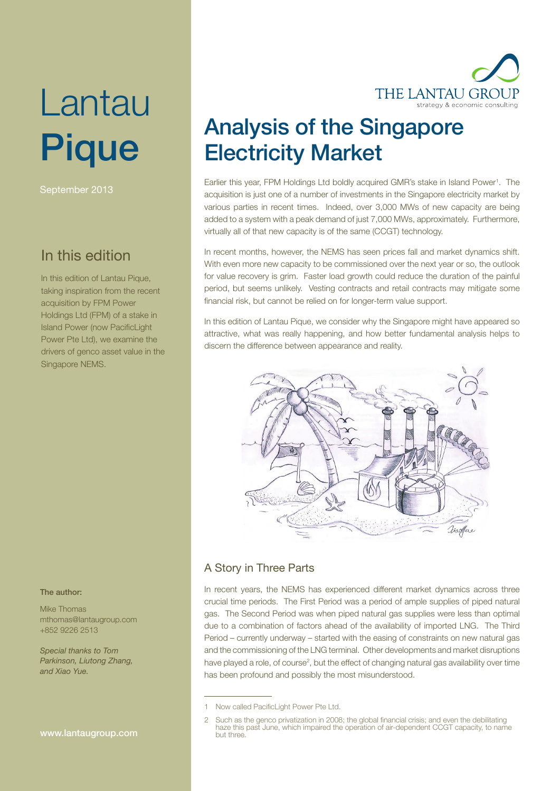# Lantau Pique

September 2013

## In this edition

In this edition of Lantau Pique, taking inspiration from the recent acquisition by FPM Power Holdings Ltd (FPM) of a stake in Island Power (now PacificLight Power Pte Ltd), we examine the drivers of genco asset value in the Singapore NEMS.

#### The author:

Mike Thomas mthomas@lantaugroup.com +852 9226 2513

Special thanks to Tom Parkinson, Liutong Zhang, and Xiao Yue.

#### www.lantaugroup.com



## Analysis of the Singapore Electricity Market

Earlier this year, FPM Holdings Ltd boldly acquired GMR's stake in Island Power<sup>1</sup>. The acquisition is just one of a number of investments in the Singapore electricity market by various parties in recent times. Indeed, over 3,000 MWs of new capacity are being added to a system with a peak demand of just 7,000 MWs, approximately. Furthermore, virtually all of that new capacity is of the same (CCGT) technology.

In recent months, however, the NEMS has seen prices fall and market dynamics shift. With even more new capacity to be commissioned over the next year or so, the outlook for value recovery is grim. Faster load growth could reduce the duration of the painful period, but seems unlikely. Vesting contracts and retail contracts may mitigate some financial risk, but cannot be relied on for longer-term value support.

In this edition of Lantau Pique, we consider why the Singapore might have appeared so attractive, what was really happening, and how better fundamental analysis helps to discern the difference between appearance and reality.



#### A Story in Three Parts

In recent years, the NEMS has experienced different market dynamics across three crucial time periods. The First Period was a period of ample supplies of piped natural gas. The Second Period was when piped natural gas supplies were less than optimal due to a combination of factors ahead of the availability of imported LNG. The Third Period – currently underway – started with the easing of constraints on new natural gas and the commissioning of the LNG terminal. Other developments and market disruptions have played a role, of course<sup>2</sup>, but the effect of changing natural gas availability over time has been profound and possibly the most misunderstood.

<sup>1</sup> Now called PacificLight Power Pte Ltd.

<sup>2</sup> Such as the genco privatization in 2008; the global financial crisis; and even the debilitating haze this past June, which impaired the operation of air-dependent CCGT capacity, to name but three.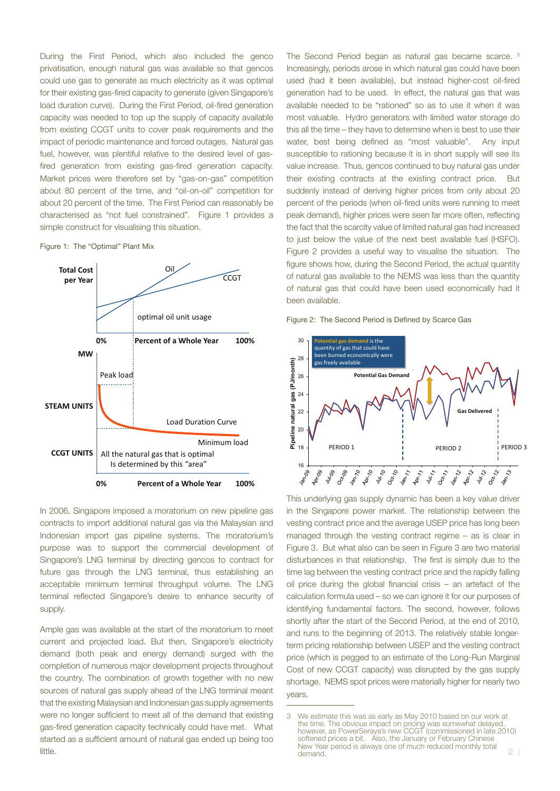During the First Period, which also included the genco privatisation, enough natural gas was available so that gencos could use gas to generate as much electricity as it was optimal for their existing gas-fired capacity to generate (given Singapore's load duration curve). During the First Period, oil-fired generation capacity was needed to top up the supply of capacity available from existing CCGT units to cover peak requirements and the impact of periodic maintenance and forced outages. Natural gas fuel, however, was plentiful relative to the desired level of gasfired generation from existing gas-fired generation capacity. Market prices were therefore set by "gas-on-gas" competition about 80 percent of the time, and "oil-on-oil" competition for about 20 percent of the time. The First Period can reasonably be characterised as "not fuel constrained". Figure 1 provides a simple construct for visualising this situation.

Figure 1: The "Optimal" Plant Mix



In 2006, Singapore imposed a moratorium on new pipeline gas contracts to import additional natural gas via the Malaysian and Indonesian import gas pipeline systems. The moratorium's purpose was to support the commercial development of Singapore's LNG terminal by directing gencos to contract for future gas through the LNG terminal, thus establishing an acceptable minimum terminal throughput volume. The LNG terminal reflected Singapore's desire to enhance security of supply.

Ample gas was available at the start of the moratorium to meet current and projected load. But then, Singapore's electricity demand (both peak and energy demand) surged with the completion of numerous major development projects throughout the country. The combination of growth together with no new sources of natural gas supply ahead of the LNG terminal meant that the existing Malaysian and Indonesian gas supply agreements were no longer sufficient to meet all of the demand that existing gas-fired generation capacity technically could have met. What started as a sufficient amount of natural gas ended up being too

The Second Period began as natural gas became scarce. 3 Increasingly, periods arose in which natural gas could have been used (had it been available), but instead higher-cost oil-fired generation had to be used. In effect, the natural gas that was available needed to be "rationed" so as to use it when it was most valuable. Hydro generators with limited water storage do this all the time – they have to determine when is best to use their water, best being defined as "most valuable". Any input susceptible to rationing because it is in short supply will see its value increase. Thus, gencos continued to buy natural gas under their existing contracts at the existing contract price. But suddenly instead of deriving higher prices from only about 20 percent of the periods (when oil-fired units were running to meet peak demand), higher prices were seen far more often, reflecting the fact that the scarcity value of limited natural gas had increased to just below the value of the next best available fuel (HSFO). Figure 2 provides a useful way to visualise the situation. The figure shows how, during the Second Period, the actual quantity of natural gas available to the NEMS was less than the quantity of natural gas that could have been used economically had it been available.





This underlying gas supply dynamic has been a key value driver in the Singapore power market. The relationship between the vesting contract price and the average USEP price has long been managed through the vesting contract regime – as is clear in Figure 3. But what also can be seen in Figure 3 are two material disturbances in that relationship. The first is simply due to the time lag between the vesting contract price and the rapidly falling oil price during the global financial crisis – an artefact of the calculation formula used – so we can ignore it for our purposes of identifying fundamental factors. The second, however, follows shortly after the start of the Second Period, at the end of 2010, and runs to the beginning of 2013. The relatively stable longerterm pricing relationship between USEP and the vesting contract price (which is pegged to an estimate of the Long-Run Marginal Cost of new CCGT capacity) was disrupted by the gas supply shortage. NEMS spot prices were materially higher for nearly two years.

 $\frac{1}{2}$  |  $\frac{1}{2}$  |  $\frac{1}{2}$  |  $\frac{1}{2}$  |  $\frac{1}{2}$  |  $\frac{1}{2}$  |  $\frac{1}{2}$  |  $\frac{1}{2}$  |  $\frac{1}{2}$  |  $\frac{1}{2}$  |  $\frac{1}{2}$  |  $\frac{1}{2}$  |  $\frac{1}{2}$  |  $\frac{1}{2}$  |  $\frac{1}{2}$  |  $\frac{1}{2}$  |  $\frac{1}{2}$  |  $\frac{1}{2}$  |  $\frac{1$ 3 We estimate this was as early as May 2010 based on our work at the time. The obvious impact on pricing was somewhat delayed, however, as PowerSeraya's new CCGT (commissioned in late 2010) softened prices a bit. Also, the January or February Chinese New Year period is always one of much reduced monthly total demand.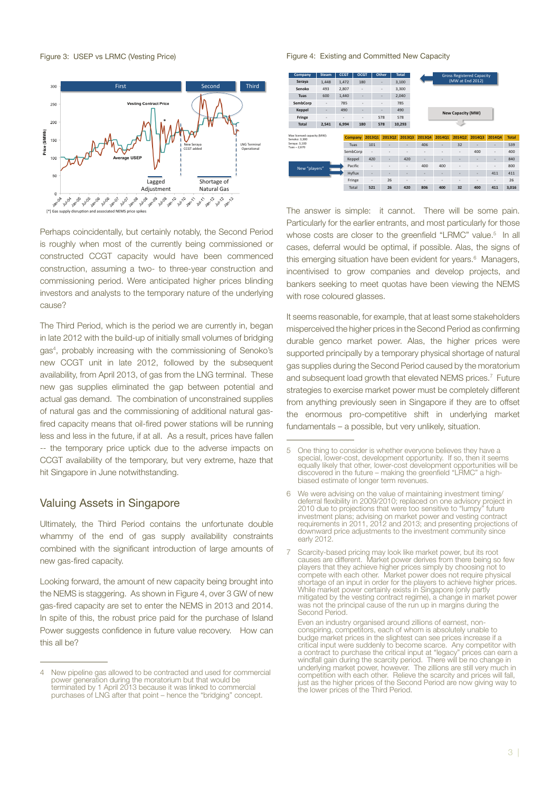Figure 3: USEP vs LRMC (Vesting Price)



Perhaps coincidentally, but certainly notably, the Second Period is roughly when most of the currently being commissioned or constructed CCGT capacity would have been commenced construction, assuming a two- to three-year construction and commissioning period. Were anticipated higher prices blinding investors and analysts to the temporary nature of the underlying cause?

The Third Period, which is the period we are currently in, began in late 2012 with the build-up of initially small volumes of bridging gas4 , probably increasing with the commissioning of Senoko's new CCGT unit in late 2012, followed by the subsequent availability, from April 2013, of gas from the LNG terminal. These new gas supplies eliminated the gap between potential and actual gas demand. The combination of unconstrained supplies of natural gas and the commissioning of additional natural gasfired capacity means that oil-fired power stations will be running less and less in the future, if at all. As a result, prices have fallen -- the temporary price uptick due to the adverse impacts on CCGT availability of the temporary, but very extreme, haze that hit Singapore in June notwithstanding.

#### Valuing Assets in Singapore

Ultimately, the Third Period contains the unfortunate double whammy of the end of gas supply availability constraints combined with the significant introduction of large amounts of new gas-fired capacity.

Looking forward, the amount of new capacity being brought into the NEMS is staggering. As shown in Figure 4, over 3 GW of new gas-fired capacity are set to enter the NEMS in 2013 and 2014. In spite of this, the robust price paid for the purchase of Island Power suggests confidence in future value recovery. How can this all be?

#### Figure 4: Existing and Committed New Capacity

| Company                                      | <b>Steam</b> | <b>CCGT</b>    | <b>OCGT</b> |                          | Other                    | <b>Total</b> |                |                   |                          | <b>Gross Registered Capacity</b> |        |              |
|----------------------------------------------|--------------|----------------|-------------|--------------------------|--------------------------|--------------|----------------|-------------------|--------------------------|----------------------------------|--------|--------------|
| Seraya                                       | 1,448        | 1,472          | 180         |                          |                          | 3,100        |                |                   | (MW at End 2012)         |                                  |        |              |
| Senoko                                       | 493          | 2.807          | ٠           |                          | $\overline{\phantom{a}}$ | 3.300        |                |                   |                          |                                  |        |              |
| <b>Tuas</b>                                  | 600          | 1,440          | ۰           |                          | ٠                        | 2,040        |                |                   |                          |                                  |        |              |
| SembCorp                                     | ٠            | 785            | ٠           |                          | $\overline{\phantom{a}}$ | 785          |                |                   |                          |                                  |        |              |
| Keppel                                       | ۰            | 490            | ۰           |                          | ٠                        | 490          |                |                   |                          |                                  |        |              |
| Fringe                                       | ٠            | $\blacksquare$ | ٠           |                          | 578                      | 578          |                | New Capacity (MW) |                          |                                  |        |              |
| <b>Total</b>                                 | 2,541        | 6,994          | 180         |                          | 578                      | 10,293       |                |                   |                          |                                  |        |              |
|                                              |              |                |             |                          |                          |              |                |                   |                          |                                  |        |              |
| Max licensed capacity (MW):<br>Senoko: 3.300 |              |                |             |                          |                          |              |                |                   |                          |                                  |        |              |
|                                              |              |                | Company     | 201301                   | 201302                   | 201303       | 201304         | 201401            | 201402                   | 201403                           | 201404 | <b>Total</b> |
| Seraya: 3.100                                |              |                | Tuas        | 101                      | ٠                        |              | 406            | ٠                 | 32                       |                                  | ٠      | 539          |
| Tuas $-2.670$                                |              |                | SembCorp    |                          | ٠                        | ٠            | $\overline{a}$ | ٠                 | $\sim$                   | 400                              | ٠      | 400          |
|                                              |              |                | Keppel      | 420                      | ٠                        | 420          | ٠              | ٠                 | ٠                        | ۰                                | ٠      | 840          |
|                                              |              |                | Pacific     | $\overline{\phantom{a}}$ | ٠                        | ٠            | 400            | 400               | ٠                        | $\overline{a}$                   | ۰      | 800          |
| New "players"                                |              |                | Hyflux      | ٠                        | ٠                        | ٠            | ۰              | ٠                 | ٠                        | ۰                                | 411    | 411          |
|                                              |              |                | Fringe      | $\overline{\phantom{a}}$ | 26                       | ٠            | ٠              | ٠                 | $\overline{\phantom{a}}$ | $\overline{\phantom{a}}$         | ۰      | 26           |

The answer is simple: it cannot. There will be some pain. Particularly for the earlier entrants, and most particularly for those whose costs are closer to the greenfield "LRMC" value.<sup>5</sup> In all cases, deferral would be optimal, if possible. Alas, the signs of this emerging situation have been evident for years.<sup>6</sup> Managers, incentivised to grow companies and develop projects, and bankers seeking to meet quotas have been viewing the NEMS with rose coloured glasses.

It seems reasonable, for example, that at least some stakeholders misperceived the higher prices in the Second Period as confirming durable genco market power. Alas, the higher prices were supported principally by a temporary physical shortage of natural gas supplies during the Second Period caused by the moratorium and subsequent load growth that elevated NEMS prices.<sup>7</sup> Future strategies to exercise market power must be completely different from anything previously seen in Singapore if they are to offset the enormous pro-competitive shift in underlying market fundamentals – a possible, but very unlikely, situation.

New pipeline gas allowed to be contracted and used for commercial power generation during the moratorium but that would be terminated by 1 April 2013 because it was linked to commercial purchases of LNG after that point – hence the "bridging" concept.

<sup>5</sup> One thing to consider is whether everyone believes they have a special, lower-cost, development opportunity. If so, then it seems equally likely that other, lower-cost development opportunities will be discovered in the future – making the greenfield "LRMC" a highbiased estimate of longer term revenues.

<sup>6</sup> We were advising on the value of maintaining investment timing/ deferral flexibility in 2009/2010; replaced on one advisory project in 2010 due to projections that were too sensitive to "lumpy" future investment plans; advising on market power and vesting contract requirements in 2011, 2012 and 2013; and presenting projections of downward price adjustments to the investment community since early 2012.

<sup>7</sup> Scarcity-based pricing may look like market power, but its root causes are different. Market power derives from there being so few players that they achieve higher prices simply by choosing not to compete with each other. Market power does not require physical shortage of an input in order for the players to achieve higher prices. While market power certainly exists in Singapore (only partly mitigated by the vesting contract regime), a change in market power was not the principal cause of the run up in margins during the Second Period.

Even an industry organised around zillions of earnest, nonconspiring, competitors, each of whom is absolutely unable to budge market prices in the slightest can see prices increase if a critical input were suddenly to become scarce. Any competitor with a contract to purchase the critical input at "legacy" prices can earn a windfall gain during the scarcity period. There will be no change in underlying market power, however. The zillions are still very much in competition with each other. Relieve the scarcity and prices will fall, just as the higher prices of the Second Period are now giving way to the lower prices of the Third Period.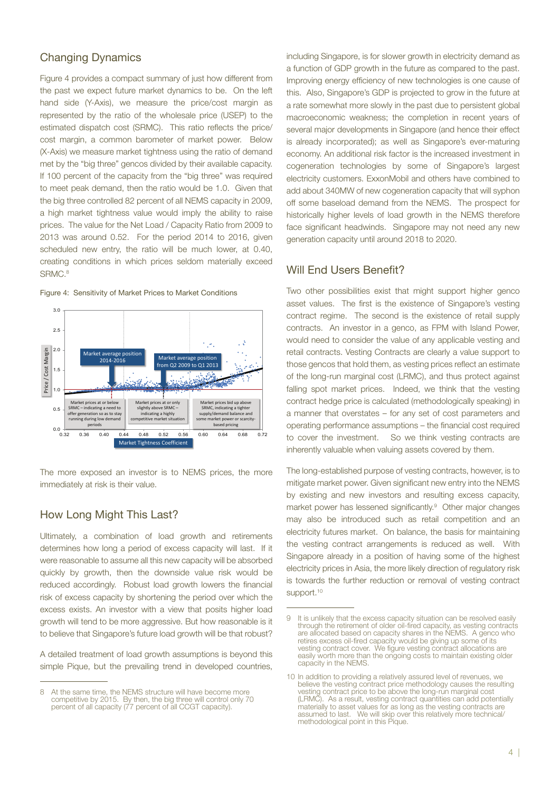#### Changing Dynamics

Figure 4 provides a compact summary of just how different from the past we expect future market dynamics to be. On the left hand side (Y-Axis), we measure the price/cost margin as represented by the ratio of the wholesale price (USEP) to the estimated dispatch cost (SRMC). This ratio reflects the price/ cost margin, a common barometer of market power. Below (X-Axis) we measure market tightness using the ratio of demand met by the "big three" gencos divided by their available capacity. If 100 percent of the capacity from the "big three" was required to meet peak demand, then the ratio would be 1.0. Given that the big three controlled 82 percent of all NEMS capacity in 2009, a high market tightness value would imply the ability to raise prices. The value for the Net Load / Capacity Ratio from 2009 to 2013 was around 0.52. For the period 2014 to 2016, given scheduled new entry, the ratio will be much lower, at 0.40, creating conditions in which prices seldom materially exceed SRMC.<sup>8</sup>





The more exposed an investor is to NEMS prices, the more immediately at risk is their value.

#### How Long Might This Last?

Ultimately, a combination of load growth and retirements determines how long a period of excess capacity will last. If it were reasonable to assume all this new capacity will be absorbed quickly by growth, then the downside value risk would be reduced accordingly. Robust load growth lowers the financial risk of excess capacity by shortening the period over which the excess exists. An investor with a view that posits higher load growth will tend to be more aggressive. But how reasonable is it to believe that Singapore's future load growth will be that robust?

A detailed treatment of load growth assumptions is beyond this simple Pique, but the prevailing trend in developed countries,

including Singapore, is for slower growth in electricity demand as a function of GDP growth in the future as compared to the past. Improving energy efficiency of new technologies is one cause of this. Also, Singapore's GDP is projected to grow in the future at a rate somewhat more slowly in the past due to persistent global macroeconomic weakness; the completion in recent years of several major developments in Singapore (and hence their effect is already incorporated); as well as Singapore's ever-maturing economy. An additional risk factor is the increased investment in cogeneration technologies by some of Singapore's largest electricity customers. ExxonMobil and others have combined to add about 340MW of new cogeneration capacity that will syphon off some baseload demand from the NEMS. The prospect for historically higher levels of load growth in the NEMS therefore face significant headwinds. Singapore may not need any new generation capacity until around 2018 to 2020.

#### Will End Users Benefit?

Two other possibilities exist that might support higher genco asset values. The first is the existence of Singapore's vesting contract regime. The second is the existence of retail supply contracts. An investor in a genco, as FPM with Island Power, would need to consider the value of any applicable vesting and retail contracts. Vesting Contracts are clearly a value support to those gencos that hold them, as vesting prices reflect an estimate of the long-run marginal cost (LRMC), and thus protect against falling spot market prices. Indeed, we think that the vesting contract hedge price is calculated (methodologically speaking) in a manner that overstates – for any set of cost parameters and operating performance assumptions – the financial cost required to cover the investment. So we think vesting contracts are inherently valuable when valuing assets covered by them.

The long-established purpose of vesting contracts, however, is to mitigate market power. Given significant new entry into the NEMS by existing and new investors and resulting excess capacity, market power has lessened significantly.<sup>9</sup> Other major changes may also be introduced such as retail competition and an electricity futures market. On balance, the basis for maintaining the vesting contract arrangements is reduced as well. With Singapore already in a position of having some of the highest electricity prices in Asia, the more likely direction of regulatory risk is towards the further reduction or removal of vesting contract support.<sup>10</sup>

<sup>8</sup> At the same time, the NEMS structure will have become more competitive by 2015. By then, the big three will control only 70 percent of all capacity (77 percent of all CCGT capacity).

<sup>9</sup> It is unlikely that the excess capacity situation can be resolved easily through the retirement of older oil-fired capacity, as vesting contracts are allocated based on capacity shares in the NEMS. A genco who retires excess oil-fired capacity would be giving up some of its vesting contract cover. We figure vesting contract allocations are easily worth more than the ongoing costs to maintain existing older capacity in the NEMS.

<sup>10</sup> In addition to providing a relatively assured level of revenues, we believe the vesting contract price methodology causes the resulting vesting contract price to be above the long-run marginal cost (LRMC). As a result, vesting contract quantities can add potentially materially to asset values for as long as the vesting contracts are assumed to last. We will skip over this relatively more technical/ methodological point in this Pique.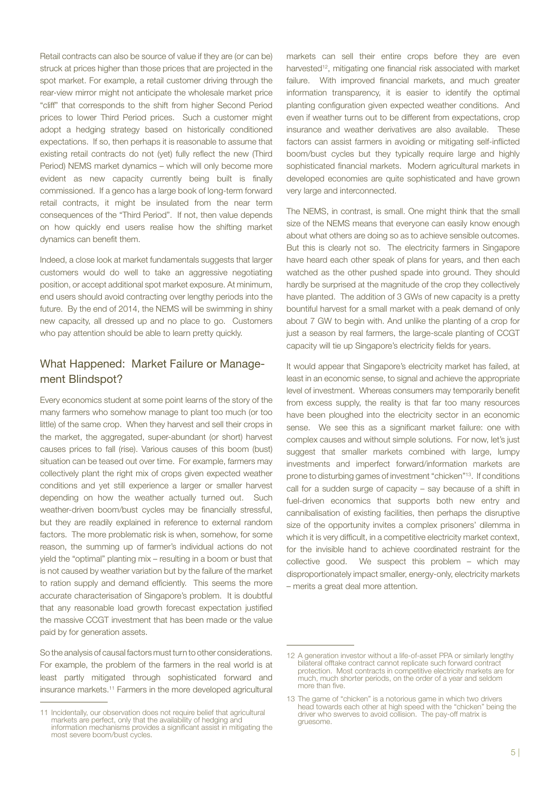Retail contracts can also be source of value if they are (or can be) struck at prices higher than those prices that are projected in the spot market. For example, a retail customer driving through the rear-view mirror might not anticipate the wholesale market price "cliff" that corresponds to the shift from higher Second Period prices to lower Third Period prices. Such a customer might adopt a hedging strategy based on historically conditioned expectations. If so, then perhaps it is reasonable to assume that existing retail contracts do not (yet) fully reflect the new (Third Period) NEMS market dynamics – which will only become more evident as new capacity currently being built is finally commissioned. If a genco has a large book of long-term forward retail contracts, it might be insulated from the near term consequences of the "Third Period". If not, then value depends on how quickly end users realise how the shifting market dynamics can benefit them.

Indeed, a close look at market fundamentals suggests that larger customers would do well to take an aggressive negotiating position, or accept additional spot market exposure. At minimum, end users should avoid contracting over lengthy periods into the future. By the end of 2014, the NEMS will be swimming in shiny new capacity, all dressed up and no place to go. Customers who pay attention should be able to learn pretty quickly.

### What Happened: Market Failure or Management Blindspot?

Every economics student at some point learns of the story of the many farmers who somehow manage to plant too much (or too little) of the same crop. When they harvest and sell their crops in the market, the aggregated, super-abundant (or short) harvest causes prices to fall (rise). Various causes of this boom (bust) situation can be teased out over time. For example, farmers may collectively plant the right mix of crops given expected weather conditions and yet still experience a larger or smaller harvest depending on how the weather actually turned out. Such weather-driven boom/bust cycles may be financially stressful, but they are readily explained in reference to external random factors. The more problematic risk is when, somehow, for some reason, the summing up of farmer's individual actions do not yield the "optimal" planting mix – resulting in a boom or bust that is not caused by weather variation but by the failure of the market to ration supply and demand efficiently. This seems the more accurate characterisation of Singapore's problem. It is doubtful that any reasonable load growth forecast expectation justified the massive CCGT investment that has been made or the value paid by for generation assets.

So the analysis of causal factors must turn to other considerations. For example, the problem of the farmers in the real world is at least partly mitigated through sophisticated forward and insurance markets.11 Farmers in the more developed agricultural markets can sell their entire crops before they are even harvested<sup>12</sup>, mitigating one financial risk associated with market failure. With improved financial markets, and much greater information transparency, it is easier to identify the optimal planting configuration given expected weather conditions. And even if weather turns out to be different from expectations, crop insurance and weather derivatives are also available. These factors can assist farmers in avoiding or mitigating self-inflicted boom/bust cycles but they typically require large and highly sophisticated financial markets. Modern agricultural markets in developed economies are quite sophisticated and have grown very large and interconnected.

The NEMS, in contrast, is small. One might think that the small size of the NEMS means that everyone can easily know enough about what others are doing so as to achieve sensible outcomes. But this is clearly not so. The electricity farmers in Singapore have heard each other speak of plans for years, and then each watched as the other pushed spade into ground. They should hardly be surprised at the magnitude of the crop they collectively have planted. The addition of 3 GWs of new capacity is a pretty bountiful harvest for a small market with a peak demand of only about 7 GW to begin with. And unlike the planting of a crop for just a season by real farmers, the large-scale planting of CCGT capacity will tie up Singapore's electricity fields for years.

It would appear that Singapore's electricity market has failed, at least in an economic sense, to signal and achieve the appropriate level of investment. Whereas consumers may temporarily benefit from excess supply, the reality is that far too many resources have been ploughed into the electricity sector in an economic sense. We see this as a significant market failure: one with complex causes and without simple solutions. For now, let's just suggest that smaller markets combined with large, lumpy investments and imperfect forward/information markets are prone to disturbing games of investment "chicken"13. If conditions call for a sudden surge of capacity – say because of a shift in fuel-driven economics that supports both new entry and cannibalisation of existing facilities, then perhaps the disruptive size of the opportunity invites a complex prisoners' dilemma in which it is very difficult, in a competitive electricity market context, for the invisible hand to achieve coordinated restraint for the collective good. We suspect this problem – which may disproportionately impact smaller, energy-only, electricity markets – merits a great deal more attention.

<sup>11</sup> Incidentally, our observation does not require belief that agricultural markets are perfect, only that the availability of hedging and information mechanisms provides a significant assist in mitigating the most severe boom/bust cycles.

<sup>12</sup> A generation investor without a life-of-asset PPA or similarly lengthy bilateral offtake contract cannot replicate such forward contract protection. Most contracts in competitive electricity markets are for much, much shorter periods, on the order of a year and seldom more than five.

<sup>13</sup> The game of "chicken" is a notorious game in which two drivers head towards each other at high speed with the "chicken" being the driver who swerves to avoid collision. The pay-off matrix is gruesome.